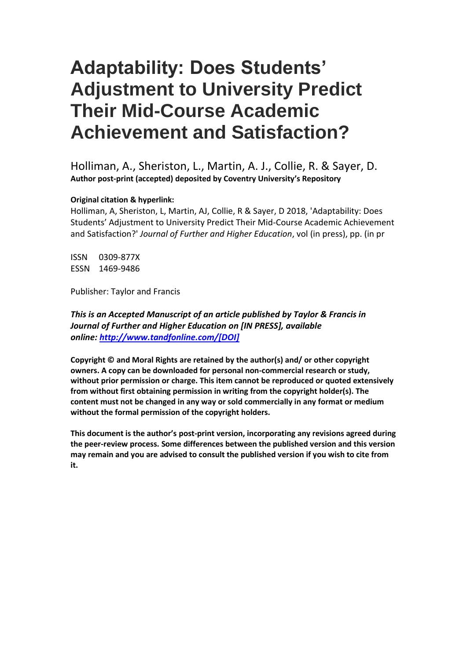Holliman, A., Sheriston, L., Martin, A. J., Collie, R. & Sayer, D. **Author post-print (accepted) deposited by Coventry University's Repository**

#### **Original citation & hyperlink:**

Holliman, A, Sheriston, L, Martin, AJ, Collie, R & Sayer, D 2018, 'Adaptability: Does Students' Adjustment to University Predict Their Mid-Course Academic Achievement and Satisfaction?' *Journal of Further and Higher Education*, vol (in press), pp. (in pr

ISSN 0309-877X ESSN 1469-9486

Publisher: Taylor and Francis

*This is an Accepted Manuscript of an article published by Taylor & Francis in Journal of Further and Higher Education on [IN PRESS], available online: [http://www.tandfonline.com/\[DOI\]](http://www.tandfonline.com/%5bDOI%5d)*

**Copyright © and Moral Rights are retained by the author(s) and/ or other copyright owners. A copy can be downloaded for personal non-commercial research or study, without prior permission or charge. This item cannot be reproduced or quoted extensively from without first obtaining permission in writing from the copyright holder(s). The content must not be changed in any way or sold commercially in any format or medium without the formal permission of the copyright holders.** 

**This document is the author's post-print version, incorporating any revisions agreed during the peer-review process. Some differences between the published version and this version may remain and you are advised to consult the published version if you wish to cite from it.**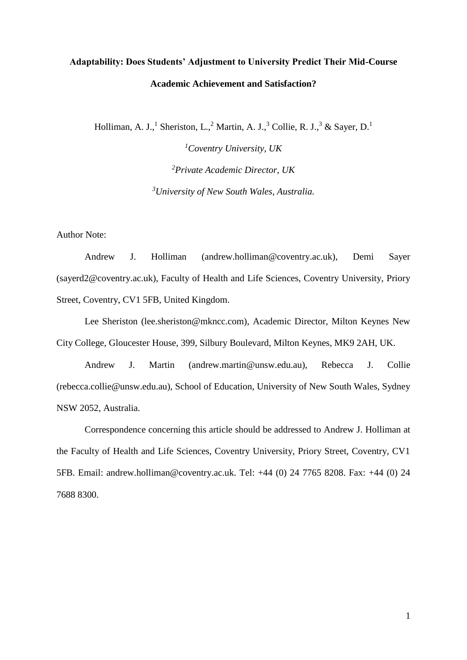Holliman, A. J.,<sup>1</sup> Sheriston, L.,<sup>2</sup> Martin, A. J.,<sup>3</sup> Collie, R. J.,<sup>3</sup> & Sayer, D.<sup>1</sup>

*<sup>1</sup>Coventry University, UK <sup>2</sup>Private Academic Director, UK <sup>3</sup>University of New South Wales, Australia.*

Author Note:

Andrew J. Holliman (andrew.holliman@coventry.ac.uk), Demi Sayer (sayerd2@coventry.ac.uk), Faculty of Health and Life Sciences, Coventry University, Priory Street, Coventry, CV1 5FB, United Kingdom.

Lee Sheriston (lee.sheriston@mkncc.com), Academic Director, Milton Keynes New City College, Gloucester House, 399, Silbury Boulevard, Milton Keynes, MK9 2AH, UK.

Andrew J. Martin (andrew.martin@unsw.edu.au), Rebecca J. Collie (rebecca.collie@unsw.edu.au), School of Education, University of New South Wales, Sydney NSW 2052, Australia.

Correspondence concerning this article should be addressed to Andrew J. Holliman at the Faculty of Health and Life Sciences, Coventry University, Priory Street, Coventry, CV1 5FB. Email: andrew.holliman@coventry.ac.uk. Tel: +44 (0) 24 7765 8208. Fax: +44 (0) 24 7688 8300.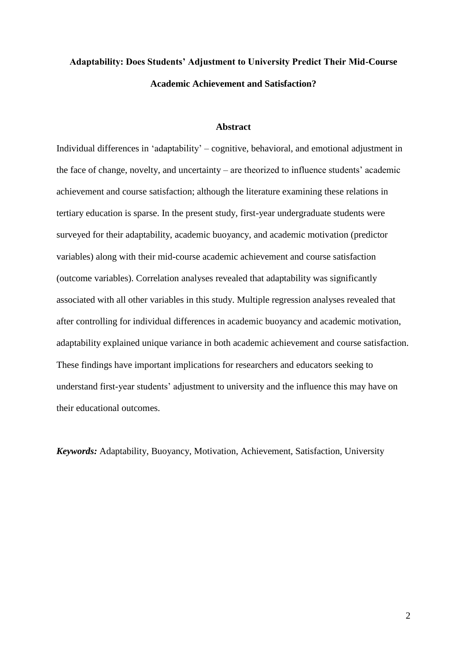#### **Abstract**

Individual differences in 'adaptability' – cognitive, behavioral, and emotional adjustment in the face of change, novelty, and uncertainty – are theorized to influence students' academic achievement and course satisfaction; although the literature examining these relations in tertiary education is sparse. In the present study, first-year undergraduate students were surveyed for their adaptability, academic buoyancy, and academic motivation (predictor variables) along with their mid-course academic achievement and course satisfaction (outcome variables). Correlation analyses revealed that adaptability was significantly associated with all other variables in this study. Multiple regression analyses revealed that after controlling for individual differences in academic buoyancy and academic motivation, adaptability explained unique variance in both academic achievement and course satisfaction. These findings have important implications for researchers and educators seeking to understand first-year students' adjustment to university and the influence this may have on their educational outcomes.

*Keywords:* Adaptability, Buoyancy, Motivation, Achievement, Satisfaction, University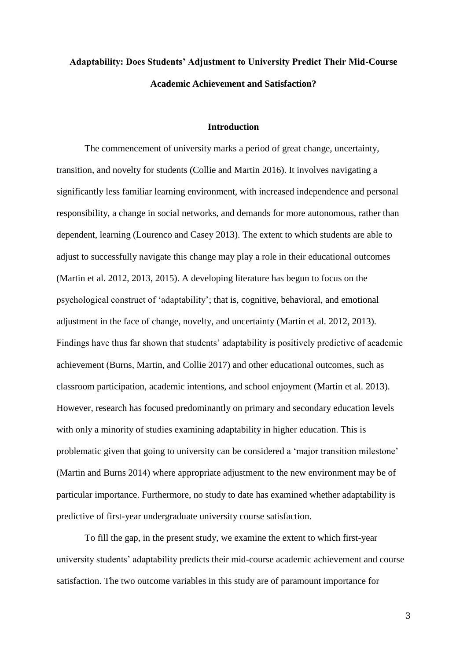#### **Introduction**

The commencement of university marks a period of great change, uncertainty, transition, and novelty for students (Collie and Martin 2016). It involves navigating a significantly less familiar learning environment, with increased independence and personal responsibility, a change in social networks, and demands for more autonomous, rather than dependent, learning (Lourenco and Casey 2013). The extent to which students are able to adjust to successfully navigate this change may play a role in their educational outcomes (Martin et al. 2012, 2013, 2015). A developing literature has begun to focus on the psychological construct of 'adaptability'; that is, cognitive, behavioral, and emotional adjustment in the face of change, novelty, and uncertainty (Martin et al. 2012, 2013). Findings have thus far shown that students' adaptability is positively predictive of academic achievement (Burns, Martin, and Collie 2017) and other educational outcomes, such as classroom participation, academic intentions, and school enjoyment (Martin et al. 2013). However, research has focused predominantly on primary and secondary education levels with only a minority of studies examining adaptability in higher education. This is problematic given that going to university can be considered a 'major transition milestone' (Martin and Burns 2014) where appropriate adjustment to the new environment may be of particular importance. Furthermore, no study to date has examined whether adaptability is predictive of first-year undergraduate university course satisfaction.

To fill the gap, in the present study, we examine the extent to which first-year university students' adaptability predicts their mid-course academic achievement and course satisfaction. The two outcome variables in this study are of paramount importance for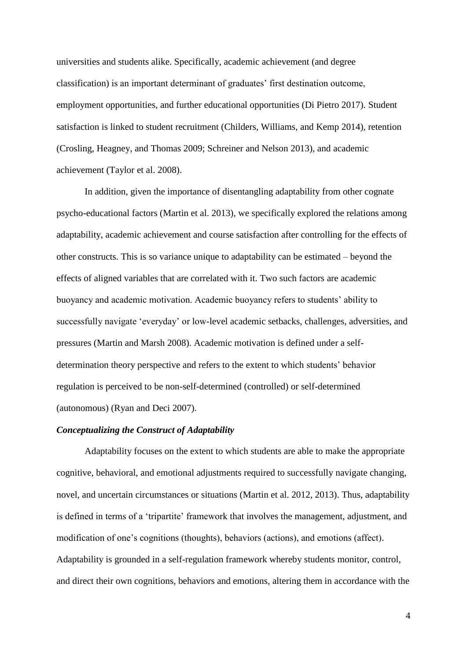universities and students alike. Specifically, academic achievement (and degree classification) is an important determinant of graduates' first destination outcome, employment opportunities, and further educational opportunities (Di Pietro 2017). Student satisfaction is linked to student recruitment (Childers, Williams, and Kemp 2014), retention (Crosling, Heagney, and Thomas 2009; Schreiner and Nelson 2013), and academic achievement (Taylor et al. 2008).

In addition, given the importance of disentangling adaptability from other cognate psycho-educational factors (Martin et al. 2013), we specifically explored the relations among adaptability, academic achievement and course satisfaction after controlling for the effects of other constructs. This is so variance unique to adaptability can be estimated – beyond the effects of aligned variables that are correlated with it. Two such factors are academic buoyancy and academic motivation. Academic buoyancy refers to students' ability to successfully navigate 'everyday' or low-level academic setbacks, challenges, adversities, and pressures (Martin and Marsh 2008). Academic motivation is defined under a selfdetermination theory perspective and refers to the extent to which students' behavior regulation is perceived to be non-self-determined (controlled) or self-determined (autonomous) (Ryan and Deci 2007).

#### *Conceptualizing the Construct of Adaptability*

Adaptability focuses on the extent to which students are able to make the appropriate cognitive, behavioral, and emotional adjustments required to successfully navigate changing, novel, and uncertain circumstances or situations (Martin et al. 2012, 2013). Thus, adaptability is defined in terms of a 'tripartite' framework that involves the management, adjustment, and modification of one's cognitions (thoughts), behaviors (actions), and emotions (affect). Adaptability is grounded in a self-regulation framework whereby students monitor, control, and direct their own cognitions, behaviors and emotions, altering them in accordance with the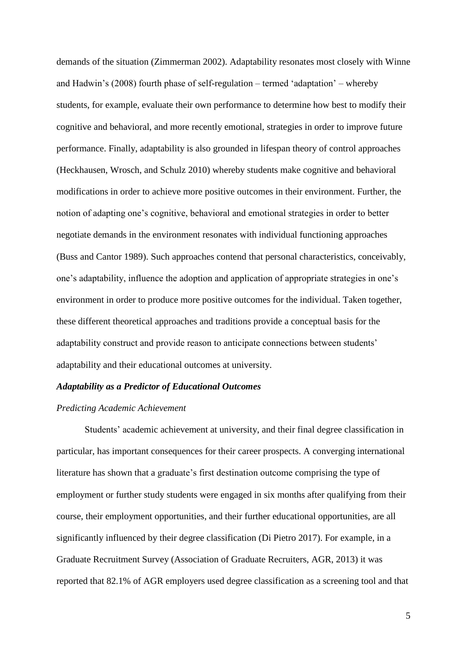demands of the situation (Zimmerman 2002). Adaptability resonates most closely with Winne and Hadwin's (2008) fourth phase of self-regulation – termed 'adaptation' – whereby students, for example, evaluate their own performance to determine how best to modify their cognitive and behavioral, and more recently emotional, strategies in order to improve future performance. Finally, adaptability is also grounded in lifespan theory of control approaches (Heckhausen, Wrosch, and Schulz 2010) whereby students make cognitive and behavioral modifications in order to achieve more positive outcomes in their environment. Further, the notion of adapting one's cognitive, behavioral and emotional strategies in order to better negotiate demands in the environment resonates with individual functioning approaches (Buss and Cantor 1989). Such approaches contend that personal characteristics, conceivably, one's adaptability, influence the adoption and application of appropriate strategies in one's environment in order to produce more positive outcomes for the individual. Taken together, these different theoretical approaches and traditions provide a conceptual basis for the adaptability construct and provide reason to anticipate connections between students' adaptability and their educational outcomes at university.

#### *Adaptability as a Predictor of Educational Outcomes*

#### *Predicting Academic Achievement*

Students' academic achievement at university, and their final degree classification in particular, has important consequences for their career prospects. A converging international literature has shown that a graduate's first destination outcome comprising the type of employment or further study students were engaged in six months after qualifying from their course, their employment opportunities, and their further educational opportunities, are all significantly influenced by their degree classification (Di Pietro 2017). For example, in a Graduate Recruitment Survey (Association of Graduate Recruiters, AGR, 2013) it was reported that 82.1% of AGR employers used degree classification as a screening tool and that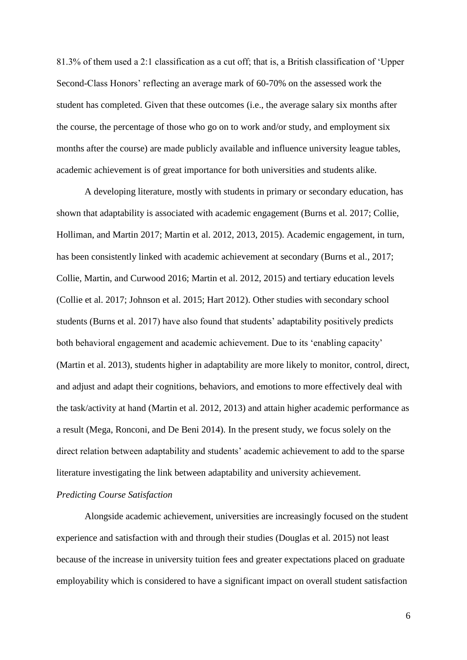81.3% of them used a 2:1 classification as a cut off; that is, a British classification of 'Upper Second-Class Honors' reflecting an average mark of 60-70% on the assessed work the student has completed. Given that these outcomes (i.e., the average salary six months after the course, the percentage of those who go on to work and/or study, and employment six months after the course) are made publicly available and influence university league tables, academic achievement is of great importance for both universities and students alike.

A developing literature, mostly with students in primary or secondary education, has shown that adaptability is associated with academic engagement (Burns et al. 2017; Collie, Holliman, and Martin 2017; Martin et al. 2012, 2013, 2015). Academic engagement, in turn, has been consistently linked with academic achievement at secondary (Burns et al., 2017; Collie, Martin, and Curwood 2016; Martin et al. 2012, 2015) and tertiary education levels (Collie et al. 2017; Johnson et al. 2015; Hart 2012). Other studies with secondary school students (Burns et al. 2017) have also found that students' adaptability positively predicts both behavioral engagement and academic achievement. Due to its 'enabling capacity' (Martin et al. 2013), students higher in adaptability are more likely to monitor, control, direct, and adjust and adapt their cognitions, behaviors, and emotions to more effectively deal with the task/activity at hand (Martin et al. 2012, 2013) and attain higher academic performance as a result (Mega, Ronconi, and De Beni 2014). In the present study, we focus solely on the direct relation between adaptability and students' academic achievement to add to the sparse literature investigating the link between adaptability and university achievement.

#### *Predicting Course Satisfaction*

Alongside academic achievement, universities are increasingly focused on the student experience and satisfaction with and through their studies (Douglas et al. 2015) not least because of the increase in university tuition fees and greater expectations placed on graduate employability which is considered to have a significant impact on overall student satisfaction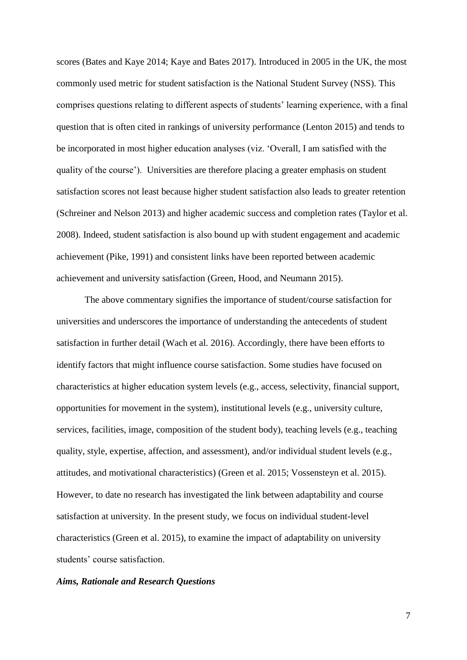scores (Bates and Kaye 2014; Kaye and Bates 2017). Introduced in 2005 in the UK, the most commonly used metric for student satisfaction is the National Student Survey (NSS). This comprises questions relating to different aspects of students' learning experience, with a final question that is often cited in rankings of university performance (Lenton 2015) and tends to be incorporated in most higher education analyses (viz. 'Overall, I am satisfied with the quality of the course'). Universities are therefore placing a greater emphasis on student satisfaction scores not least because higher student satisfaction also leads to greater retention (Schreiner and Nelson 2013) and higher academic success and completion rates (Taylor et al. 2008). Indeed, student satisfaction is also bound up with student engagement and academic achievement (Pike, 1991) and consistent links have been reported between academic achievement and university satisfaction (Green, Hood, and Neumann 2015).

The above commentary signifies the importance of student/course satisfaction for universities and underscores the importance of understanding the antecedents of student satisfaction in further detail (Wach et al. 2016). Accordingly, there have been efforts to identify factors that might influence course satisfaction. Some studies have focused on characteristics at higher education system levels (e.g., access, selectivity, financial support, opportunities for movement in the system), institutional levels (e.g., university culture, services, facilities, image, composition of the student body), teaching levels (e.g., teaching quality, style, expertise, affection, and assessment), and/or individual student levels (e.g., attitudes, and motivational characteristics) (Green et al. 2015; Vossensteyn et al. 2015). However, to date no research has investigated the link between adaptability and course satisfaction at university. In the present study, we focus on individual student-level characteristics (Green et al. 2015), to examine the impact of adaptability on university students' course satisfaction.

#### *Aims, Rationale and Research Questions*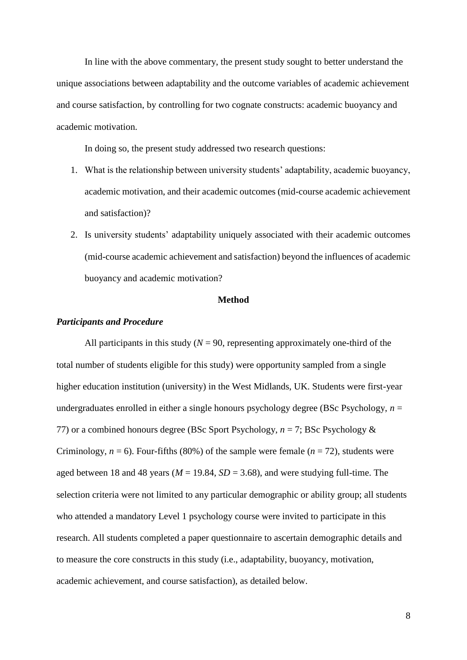In line with the above commentary, the present study sought to better understand the unique associations between adaptability and the outcome variables of academic achievement and course satisfaction, by controlling for two cognate constructs: academic buoyancy and academic motivation.

In doing so, the present study addressed two research questions:

- 1. What is the relationship between university students' adaptability, academic buoyancy, academic motivation, and their academic outcomes (mid-course academic achievement and satisfaction)?
- 2. Is university students' adaptability uniquely associated with their academic outcomes (mid-course academic achievement and satisfaction) beyond the influences of academic buoyancy and academic motivation?

#### **Method**

#### *Participants and Procedure*

All participants in this study ( $N = 90$ , representing approximately one-third of the total number of students eligible for this study) were opportunity sampled from a single higher education institution (university) in the West Midlands, UK. Students were first-year undergraduates enrolled in either a single honours psychology degree (BSc Psychology,  $n =$ 77) or a combined honours degree (BSc Sport Psychology, *n* = 7; BSc Psychology & Criminology,  $n = 6$ ). Four-fifths (80%) of the sample were female ( $n = 72$ ), students were aged between 18 and 48 years ( $M = 19.84$ ,  $SD = 3.68$ ), and were studying full-time. The selection criteria were not limited to any particular demographic or ability group; all students who attended a mandatory Level 1 psychology course were invited to participate in this research. All students completed a paper questionnaire to ascertain demographic details and to measure the core constructs in this study (i.e., adaptability, buoyancy, motivation, academic achievement, and course satisfaction), as detailed below.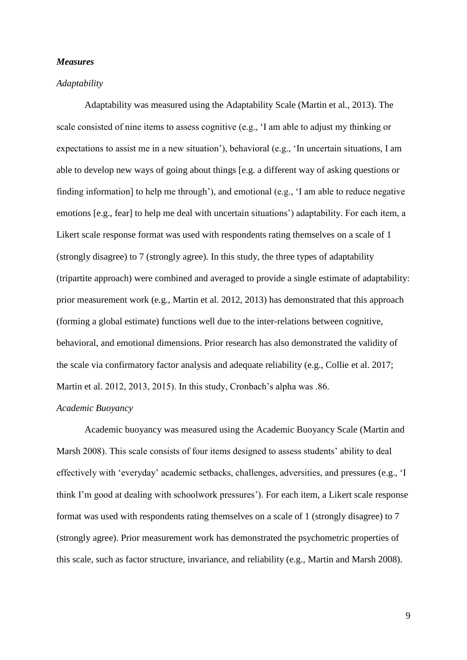#### *Measures*

#### *Adaptability*

Adaptability was measured using the Adaptability Scale (Martin et al., 2013). The scale consisted of nine items to assess cognitive (e.g., 'I am able to adjust my thinking or expectations to assist me in a new situation'), behavioral (e.g., 'In uncertain situations, I am able to develop new ways of going about things [e.g. a different way of asking questions or finding information] to help me through'), and emotional (e.g., 'I am able to reduce negative emotions [e.g., fear] to help me deal with uncertain situations') adaptability. For each item, a Likert scale response format was used with respondents rating themselves on a scale of 1 (strongly disagree) to 7 (strongly agree). In this study, the three types of adaptability (tripartite approach) were combined and averaged to provide a single estimate of adaptability: prior measurement work (e.g., Martin et al. 2012, 2013) has demonstrated that this approach (forming a global estimate) functions well due to the inter-relations between cognitive, behavioral, and emotional dimensions. Prior research has also demonstrated the validity of the scale via confirmatory factor analysis and adequate reliability (e.g., Collie et al. 2017; Martin et al. 2012, 2013, 2015). In this study, Cronbach's alpha was .86.

#### *Academic Buoyancy*

Academic buoyancy was measured using the Academic Buoyancy Scale (Martin and Marsh 2008). This scale consists of four items designed to assess students' ability to deal effectively with 'everyday' academic setbacks, challenges, adversities, and pressures (e.g., 'I think I'm good at dealing with schoolwork pressures'). For each item, a Likert scale response format was used with respondents rating themselves on a scale of 1 (strongly disagree) to 7 (strongly agree). Prior measurement work has demonstrated the psychometric properties of this scale, such as factor structure, invariance, and reliability (e.g., Martin and Marsh 2008).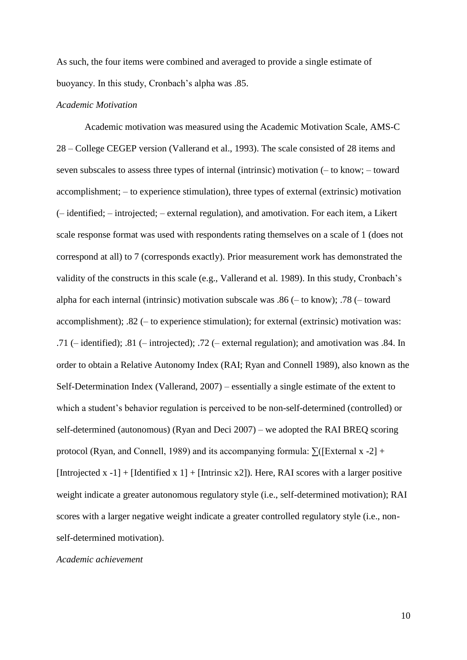As such, the four items were combined and averaged to provide a single estimate of buoyancy. In this study, Cronbach's alpha was .85.

#### *Academic Motivation*

Academic motivation was measured using the Academic Motivation Scale, AMS-C 28 – College CEGEP version (Vallerand et al., 1993). The scale consisted of 28 items and seven subscales to assess three types of internal (intrinsic) motivation (– to know; – toward accomplishment; – to experience stimulation), three types of external (extrinsic) motivation (– identified; – introjected; – external regulation), and amotivation. For each item, a Likert scale response format was used with respondents rating themselves on a scale of 1 (does not correspond at all) to 7 (corresponds exactly). Prior measurement work has demonstrated the validity of the constructs in this scale (e.g., Vallerand et al. 1989). In this study, Cronbach's alpha for each internal (intrinsic) motivation subscale was .86 (– to know); .78 (– toward accomplishment); .82 (– to experience stimulation); for external (extrinsic) motivation was: .71 (– identified); .81 (– introjected); .72 (– external regulation); and amotivation was .84. In order to obtain a Relative Autonomy Index (RAI; Ryan and Connell 1989), also known as the Self-Determination Index (Vallerand, 2007) – essentially a single estimate of the extent to which a student's behavior regulation is perceived to be non-self-determined (controlled) or self-determined (autonomous) (Ryan and Deci 2007) – we adopted the RAI BREQ scoring protocol (Ryan, and Connell, 1989) and its accompanying formula:  $\sum$  ([External x -2] + [Introjected x -1] + [Identified x 1] + [Intrinsic x2]). Here, RAI scores with a larger positive weight indicate a greater autonomous regulatory style (i.e., self-determined motivation); RAI scores with a larger negative weight indicate a greater controlled regulatory style (i.e., nonself-determined motivation).

#### *Academic achievement*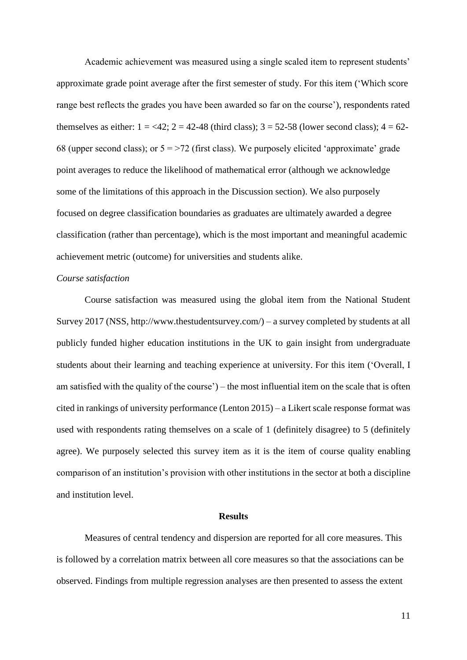Academic achievement was measured using a single scaled item to represent students' approximate grade point average after the first semester of study. For this item ('Which score range best reflects the grades you have been awarded so far on the course'), respondents rated themselves as either:  $1 = 42$ ;  $2 = 42-48$  (third class);  $3 = 52-58$  (lower second class);  $4 = 62-58$ 68 (upper second class); or  $5 = 72$  (first class). We purposely elicited 'approximate' grade point averages to reduce the likelihood of mathematical error (although we acknowledge some of the limitations of this approach in the Discussion section). We also purposely focused on degree classification boundaries as graduates are ultimately awarded a degree classification (rather than percentage), which is the most important and meaningful academic achievement metric (outcome) for universities and students alike.

#### *Course satisfaction*

Course satisfaction was measured using the global item from the National Student Survey 2017 (NSS, http://www.thestudentsurvey.com/) – a survey completed by students at all publicly funded higher education institutions in the UK to gain insight from undergraduate students about their learning and teaching experience at university. For this item ('Overall, I am satisfied with the quality of the course') – the most influential item on the scale that is often cited in rankings of university performance (Lenton 2015) – a Likert scale response format was used with respondents rating themselves on a scale of 1 (definitely disagree) to 5 (definitely agree). We purposely selected this survey item as it is the item of course quality enabling comparison of an institution's provision with other institutions in the sector at both a discipline and institution level.

#### **Results**

Measures of central tendency and dispersion are reported for all core measures. This is followed by a correlation matrix between all core measures so that the associations can be observed. Findings from multiple regression analyses are then presented to assess the extent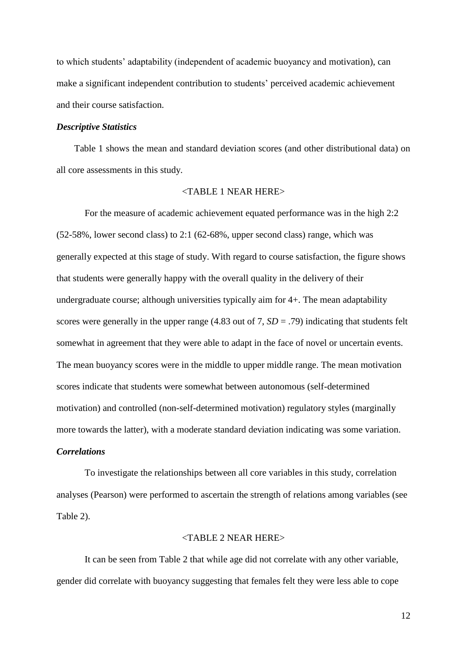to which students' adaptability (independent of academic buoyancy and motivation), can make a significant independent contribution to students' perceived academic achievement and their course satisfaction.

#### *Descriptive Statistics*

Table 1 shows the mean and standard deviation scores (and other distributional data) on all core assessments in this study.

#### <TABLE 1 NEAR HERE>

For the measure of academic achievement equated performance was in the high 2:2 (52-58%, lower second class) to 2:1 (62-68%, upper second class) range, which was generally expected at this stage of study. With regard to course satisfaction, the figure shows that students were generally happy with the overall quality in the delivery of their undergraduate course; although universities typically aim for 4+. The mean adaptability scores were generally in the upper range (4.83 out of 7,  $SD = .79$ ) indicating that students felt somewhat in agreement that they were able to adapt in the face of novel or uncertain events. The mean buoyancy scores were in the middle to upper middle range. The mean motivation scores indicate that students were somewhat between autonomous (self-determined motivation) and controlled (non-self-determined motivation) regulatory styles (marginally more towards the latter), with a moderate standard deviation indicating was some variation.

#### *Correlations*

To investigate the relationships between all core variables in this study, correlation analyses (Pearson) were performed to ascertain the strength of relations among variables (see Table 2).

#### $\angle$ TARI E 2 NEAR HERE $>$

It can be seen from Table 2 that while age did not correlate with any other variable, gender did correlate with buoyancy suggesting that females felt they were less able to cope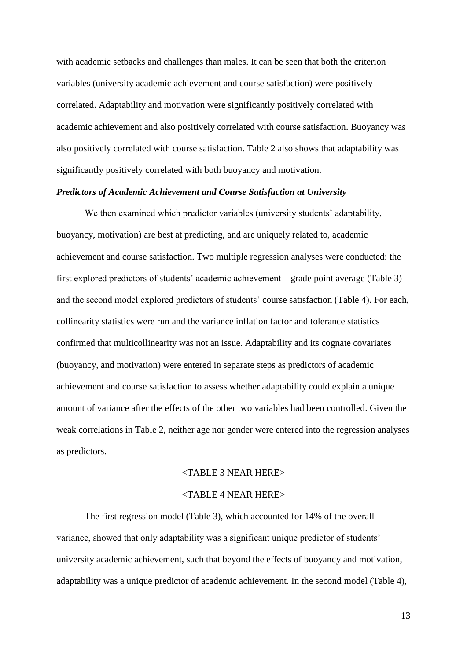with academic setbacks and challenges than males. It can be seen that both the criterion variables (university academic achievement and course satisfaction) were positively correlated. Adaptability and motivation were significantly positively correlated with academic achievement and also positively correlated with course satisfaction. Buoyancy was also positively correlated with course satisfaction. Table 2 also shows that adaptability was significantly positively correlated with both buoyancy and motivation.

#### *Predictors of Academic Achievement and Course Satisfaction at University*

We then examined which predictor variables (university students' adaptability, buoyancy, motivation) are best at predicting, and are uniquely related to, academic achievement and course satisfaction. Two multiple regression analyses were conducted: the first explored predictors of students' academic achievement – grade point average (Table 3) and the second model explored predictors of students' course satisfaction (Table 4). For each, collinearity statistics were run and the variance inflation factor and tolerance statistics confirmed that multicollinearity was not an issue. Adaptability and its cognate covariates (buoyancy, and motivation) were entered in separate steps as predictors of academic achievement and course satisfaction to assess whether adaptability could explain a unique amount of variance after the effects of the other two variables had been controlled. Given the weak correlations in Table 2, neither age nor gender were entered into the regression analyses as predictors.

#### <TABLE 3 NEAR HERE>

#### <TABLE 4 NEAR HERE>

The first regression model (Table 3), which accounted for 14% of the overall variance, showed that only adaptability was a significant unique predictor of students' university academic achievement, such that beyond the effects of buoyancy and motivation, adaptability was a unique predictor of academic achievement. In the second model (Table 4),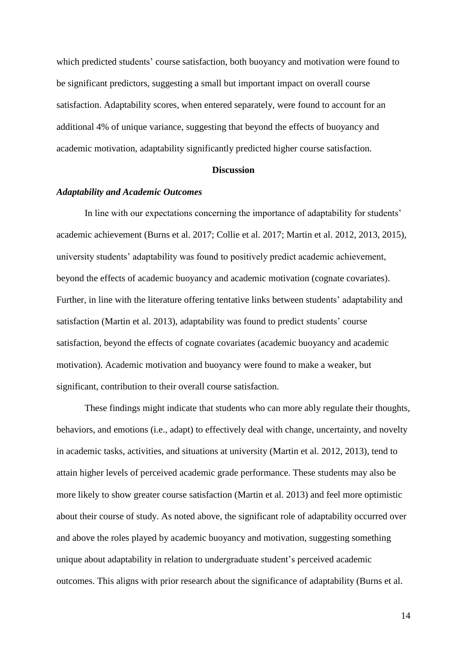which predicted students' course satisfaction, both buoyancy and motivation were found to be significant predictors, suggesting a small but important impact on overall course satisfaction. Adaptability scores, when entered separately, were found to account for an additional 4% of unique variance, suggesting that beyond the effects of buoyancy and academic motivation, adaptability significantly predicted higher course satisfaction.

#### **Discussion**

#### *Adaptability and Academic Outcomes*

In line with our expectations concerning the importance of adaptability for students' academic achievement (Burns et al. 2017; Collie et al. 2017; Martin et al. 2012, 2013, 2015), university students' adaptability was found to positively predict academic achievement, beyond the effects of academic buoyancy and academic motivation (cognate covariates). Further, in line with the literature offering tentative links between students' adaptability and satisfaction (Martin et al. 2013), adaptability was found to predict students' course satisfaction, beyond the effects of cognate covariates (academic buoyancy and academic motivation). Academic motivation and buoyancy were found to make a weaker, but significant, contribution to their overall course satisfaction.

These findings might indicate that students who can more ably regulate their thoughts, behaviors, and emotions (i.e., adapt) to effectively deal with change, uncertainty, and novelty in academic tasks, activities, and situations at university (Martin et al. 2012, 2013), tend to attain higher levels of perceived academic grade performance. These students may also be more likely to show greater course satisfaction (Martin et al. 2013) and feel more optimistic about their course of study. As noted above, the significant role of adaptability occurred over and above the roles played by academic buoyancy and motivation, suggesting something unique about adaptability in relation to undergraduate student's perceived academic outcomes. This aligns with prior research about the significance of adaptability (Burns et al.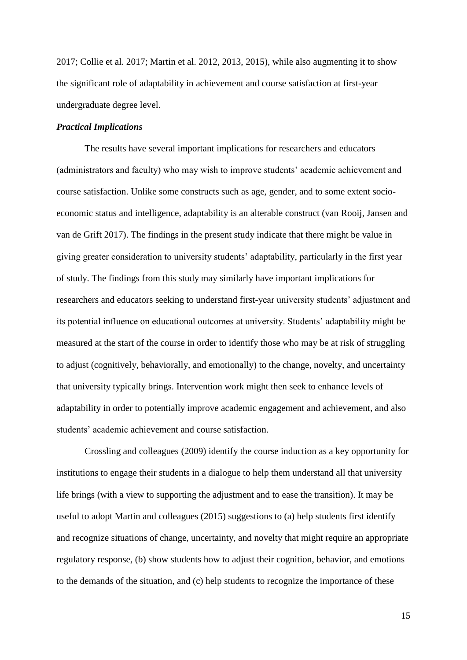2017; Collie et al. 2017; Martin et al. 2012, 2013, 2015), while also augmenting it to show the significant role of adaptability in achievement and course satisfaction at first-year undergraduate degree level.

#### *Practical Implications*

The results have several important implications for researchers and educators (administrators and faculty) who may wish to improve students' academic achievement and course satisfaction. Unlike some constructs such as age, gender, and to some extent socioeconomic status and intelligence, adaptability is an alterable construct (van Rooij, Jansen and van de Grift 2017). The findings in the present study indicate that there might be value in giving greater consideration to university students' adaptability, particularly in the first year of study. The findings from this study may similarly have important implications for researchers and educators seeking to understand first-year university students' adjustment and its potential influence on educational outcomes at university. Students' adaptability might be measured at the start of the course in order to identify those who may be at risk of struggling to adjust (cognitively, behaviorally, and emotionally) to the change, novelty, and uncertainty that university typically brings. Intervention work might then seek to enhance levels of adaptability in order to potentially improve academic engagement and achievement, and also students' academic achievement and course satisfaction.

Crossling and colleagues (2009) identify the course induction as a key opportunity for institutions to engage their students in a dialogue to help them understand all that university life brings (with a view to supporting the adjustment and to ease the transition). It may be useful to adopt Martin and colleagues (2015) suggestions to (a) help students first identify and recognize situations of change, uncertainty, and novelty that might require an appropriate regulatory response, (b) show students how to adjust their cognition, behavior, and emotions to the demands of the situation, and (c) help students to recognize the importance of these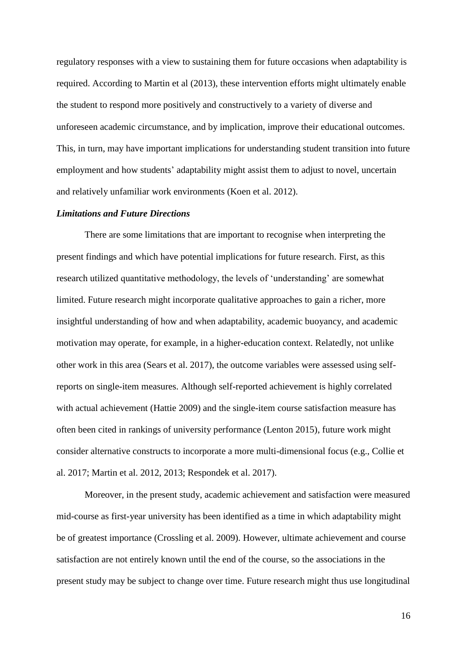regulatory responses with a view to sustaining them for future occasions when adaptability is required. According to Martin et al (2013), these intervention efforts might ultimately enable the student to respond more positively and constructively to a variety of diverse and unforeseen academic circumstance, and by implication, improve their educational outcomes. This, in turn, may have important implications for understanding student transition into future employment and how students' adaptability might assist them to adjust to novel, uncertain and relatively unfamiliar work environments (Koen et al. 2012).

#### *Limitations and Future Directions*

There are some limitations that are important to recognise when interpreting the present findings and which have potential implications for future research. First, as this research utilized quantitative methodology, the levels of 'understanding' are somewhat limited. Future research might incorporate qualitative approaches to gain a richer, more insightful understanding of how and when adaptability, academic buoyancy, and academic motivation may operate, for example, in a higher-education context. Relatedly, not unlike other work in this area (Sears et al. 2017), the outcome variables were assessed using selfreports on single-item measures. Although self-reported achievement is highly correlated with actual achievement (Hattie 2009) and the single-item course satisfaction measure has often been cited in rankings of university performance (Lenton 2015), future work might consider alternative constructs to incorporate a more multi-dimensional focus (e.g., Collie et al. 2017; Martin et al. 2012, 2013; Respondek et al. 2017).

Moreover, in the present study, academic achievement and satisfaction were measured mid-course as first-year university has been identified as a time in which adaptability might be of greatest importance (Crossling et al. 2009). However, ultimate achievement and course satisfaction are not entirely known until the end of the course, so the associations in the present study may be subject to change over time. Future research might thus use longitudinal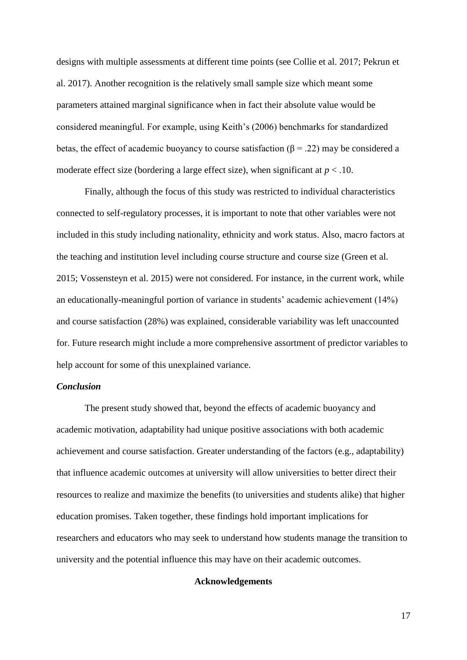designs with multiple assessments at different time points (see Collie et al. 2017; Pekrun et al. 2017). Another recognition is the relatively small sample size which meant some parameters attained marginal significance when in fact their absolute value would be considered meaningful. For example, using Keith's (2006) benchmarks for standardized betas, the effect of academic buoyancy to course satisfaction ( $\beta$  = .22) may be considered a moderate effect size (bordering a large effect size), when significant at  $p < .10$ .

Finally, although the focus of this study was restricted to individual characteristics connected to self-regulatory processes, it is important to note that other variables were not included in this study including nationality, ethnicity and work status. Also, macro factors at the teaching and institution level including course structure and course size (Green et al. 2015; Vossensteyn et al. 2015) were not considered. For instance, in the current work, while an educationally-meaningful portion of variance in students' academic achievement (14%) and course satisfaction (28%) was explained, considerable variability was left unaccounted for. Future research might include a more comprehensive assortment of predictor variables to help account for some of this unexplained variance.

#### *Conclusion*

The present study showed that, beyond the effects of academic buoyancy and academic motivation, adaptability had unique positive associations with both academic achievement and course satisfaction. Greater understanding of the factors (e.g., adaptability) that influence academic outcomes at university will allow universities to better direct their resources to realize and maximize the benefits (to universities and students alike) that higher education promises. Taken together, these findings hold important implications for researchers and educators who may seek to understand how students manage the transition to university and the potential influence this may have on their academic outcomes.

#### **Acknowledgements**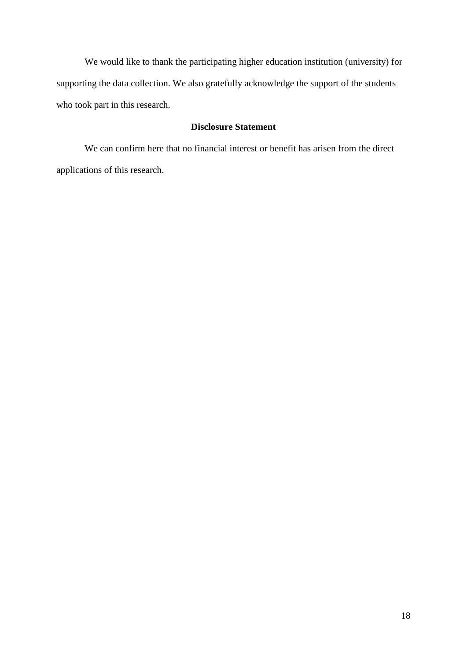We would like to thank the participating higher education institution (university) for supporting the data collection. We also gratefully acknowledge the support of the students who took part in this research.

### **Disclosure Statement**

We can confirm here that no financial interest or benefit has arisen from the direct applications of this research.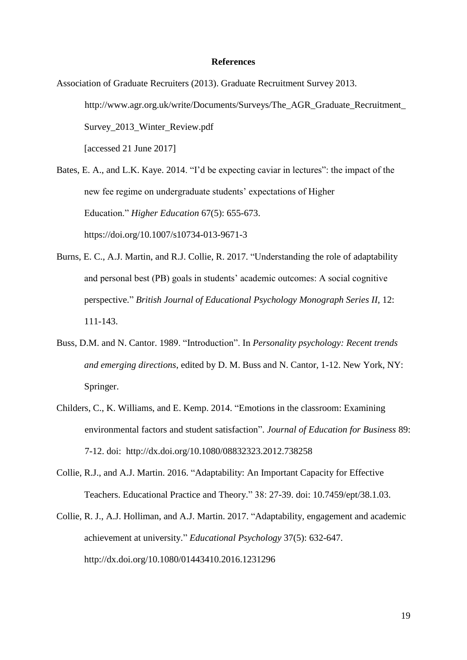#### **References**

Association of Graduate Recruiters (2013). Graduate Recruitment Survey 2013. http://www.agr.org.uk/write/Documents/Surveys/The\_AGR\_Graduate\_Recruitment\_ Survey\_2013\_Winter\_Review.pdf [accessed 21 June 2017]

Bates, E. A., and L.K. Kaye. 2014. "I'd be expecting caviar in lectures": the impact of the new fee regime on undergraduate students' expectations of Higher Education." *Higher Education* 67(5): 655-673. https://doi.org/10.1007/s10734-013-9671-3

- Burns, E. C., A.J. Martin, and R.J. Collie, R. 2017. "Understanding the role of adaptability and personal best (PB) goals in students' academic outcomes: A social cognitive perspective." *British Journal of Educational Psychology Monograph Series II,* 12: 111-143.
- Buss, D.M. and N. Cantor. 1989. "Introduction". In *Personality psychology: Recent trends and emerging directions*, edited by D. M. Buss and N. Cantor, 1-12. New York, NY: Springer.
- Childers, C., K. Williams, and E. Kemp. 2014. "Emotions in the classroom: Examining environmental factors and student satisfaction". *Journal of Education for Business* 89: 7-12. doi: http://dx.doi.org/10.1080/08832323.2012.738258
- Collie, R.J., and A.J. Martin. 2016. "Adaptability: An Important Capacity for Effective Teachers. Educational Practice and Theory." 38: 27-39. doi: 10.7459/ept/38.1.03.
- Collie, R. J., A.J. Holliman, and A.J. Martin. 2017. "Adaptability, engagement and academic achievement at university." *Educational Psychology* 37(5): 632-647. http://dx.doi.org/10.1080/01443410.2016.1231296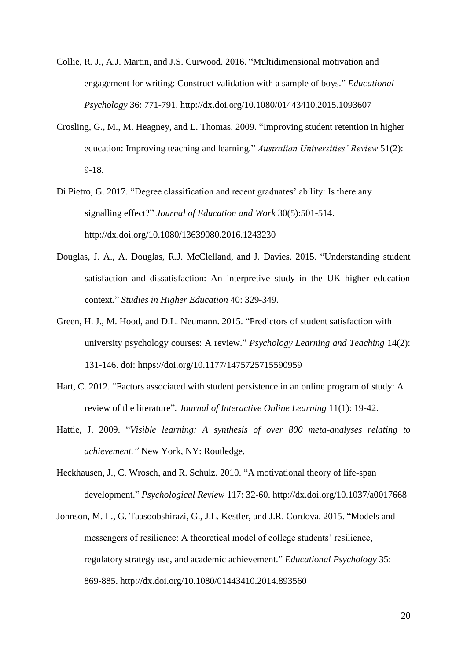- Collie, R. J., A.J. Martin, and J.S. Curwood. 2016. "Multidimensional motivation and engagement for writing: Construct validation with a sample of boys." *Educational Psychology* 36: 771-791. http://dx.doi.org/10.1080/01443410.2015.1093607
- Crosling, G., M., M. Heagney, and L. Thomas. 2009. "Improving student retention in higher education: Improving teaching and learning." *Australian Universities' Review* 51(2): 9-18.
- Di Pietro, G. 2017. "Degree classification and recent graduates' ability: Is there any signalling effect?" *Journal of Education and Work* 30(5):501-514. http://dx.doi.org/10.1080/13639080.2016.1243230
- Douglas, J. A., A. Douglas, R.J. McClelland, and J. Davies. 2015. "Understanding student satisfaction and dissatisfaction: An interpretive study in the UK higher education context." *Studies in Higher Education* 40: 329-349.
- Green, H. J., M. Hood, and D.L. Neumann. 2015. "Predictors of student satisfaction with university psychology courses: A review." *Psychology Learning and Teaching* 14(2): 131-146. doi: https://doi.org/10.1177/1475725715590959
- Hart, C. 2012. "Factors associated with student persistence in an online program of study: A review of the literature"*. Journal of Interactive Online Learning* 11(1): 19-42.
- Hattie, J. 2009. "*Visible learning: A synthesis of over 800 meta-analyses relating to achievement."* New York, NY: Routledge.
- Heckhausen, J., C. Wrosch, and R. Schulz. 2010. "A motivational theory of life-span development." *Psychological Review* 117: 32-60. http://dx.doi.org/10.1037/a0017668
- Johnson, M. L., G. Taasoobshirazi, G., J.L. Kestler, and J.R. Cordova. 2015. "Models and messengers of resilience: A theoretical model of college students' resilience, regulatory strategy use, and academic achievement." *Educational Psychology* 35: 869-885. http://dx.doi.org/10.1080/01443410.2014.893560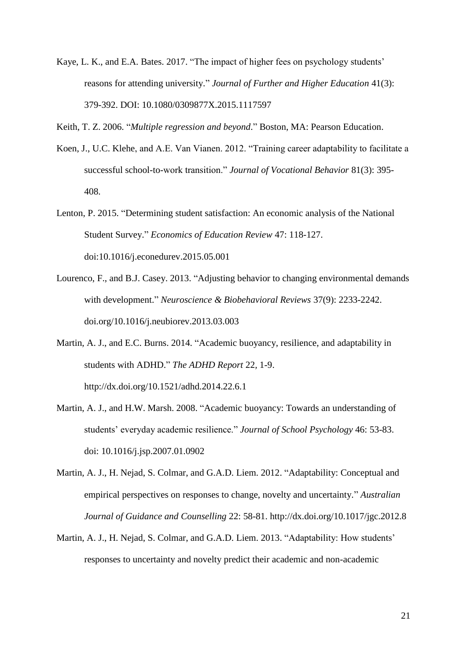- Kaye, L. K., and E.A. Bates. 2017. "The impact of higher fees on psychology students' reasons for attending university." *Journal of Further and Higher Education* 41(3): 379-392. DOI: 10.1080/0309877X.2015.1117597
- Keith, T. Z. 2006. "*Multiple regression and beyond*." Boston, MA: Pearson Education.
- Koen, J., U.C. Klehe, and A.E. Van Vianen. 2012. "Training career adaptability to facilitate a successful school-to-work transition." *Journal of Vocational Behavior* 81(3): 395- 408.
- Lenton, P. 2015. "Determining student satisfaction: An economic analysis of the National Student Survey." *Economics of Education Review* 47: 118-127. doi:10.1016/j.econedurev.2015.05.001
- Lourenco, F., and B.J. Casey. 2013. "Adjusting behavior to changing environmental demands with development." *Neuroscience & Biobehavioral Reviews* 37(9): 2233-2242. doi.org/10.1016/j.neubiorev.2013.03.003
- Martin, A. J., and E.C. Burns. 2014. "Academic buoyancy, resilience, and adaptability in students with ADHD." *The ADHD Report* 22*,* 1-9. http://dx.doi.org/10.1521/adhd.2014.22.6.1
- Martin, A. J., and H.W. Marsh. 2008. "Academic buoyancy: Towards an understanding of students' everyday academic resilience." *Journal of School Psychology* 46: 53-83. doi: 10.1016/j.jsp.2007.01.0902
- Martin, A. J., H. Nejad, S. Colmar, and G.A.D. Liem. 2012. "Adaptability: Conceptual and empirical perspectives on responses to change, novelty and uncertainty." *Australian Journal of Guidance and Counselling* 22: 58-81. http://dx.doi.org/10.1017/jgc.2012.8
- Martin, A. J., H. Nejad, S. Colmar, and G.A.D. Liem. 2013. "Adaptability: How students' responses to uncertainty and novelty predict their academic and non-academic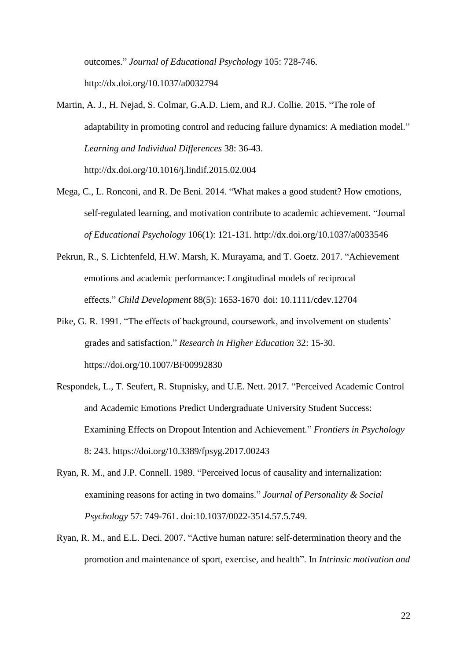outcomes." *Journal of Educational Psychology* 105: 728-746. http://dx.doi.org/10.1037/a0032794

- Martin, A. J., H. Nejad, S. Colmar, G.A.D. Liem, and R.J. Collie. 2015. "The role of adaptability in promoting control and reducing failure dynamics: A mediation model." *Learning and Individual Differences* 38: 36-43. http://dx.doi.org/10.1016/j.lindif.2015.02.004
- Mega, C., L. Ronconi, and R. De Beni. 2014. "What makes a good student? How emotions, self-regulated learning, and motivation contribute to academic achievement. "Journal *of Educational Psychology* 106(1): 121-131. http://dx.doi.org/10.1037/a0033546
- Pekrun, R., S. Lichtenfeld, H.W. Marsh, K. Murayama, and T. Goetz. 2017. "Achievement emotions and academic performance: Longitudinal models of reciprocal effects." *Child Development* 88(5): 1653-1670 doi: 10.1111/cdev.12704
- Pike, G. R. 1991. "The effects of background, coursework, and involvement on students' grades and satisfaction." *Research in Higher Education* 32: 15-30. https://doi.org/10.1007/BF00992830
- Respondek, L., T. Seufert, R. Stupnisky, and U.E. Nett. 2017. "Perceived Academic Control and Academic Emotions Predict Undergraduate University Student Success: Examining Effects on Dropout Intention and Achievement." *Frontiers in Psychology* 8: 243. https://doi.org/10.3389/fpsyg.2017.00243
- Ryan, R. M., and J.P. Connell. 1989. "Perceived locus of causality and internalization: examining reasons for acting in two domains." *Journal of Personality & Social Psychology* 57: 749-761. doi:10.1037/0022-3514.57.5.749.
- Ryan, R. M., and E.L. Deci. 2007. "Active human nature: self-determination theory and the promotion and maintenance of sport, exercise, and health". In *Intrinsic motivation and*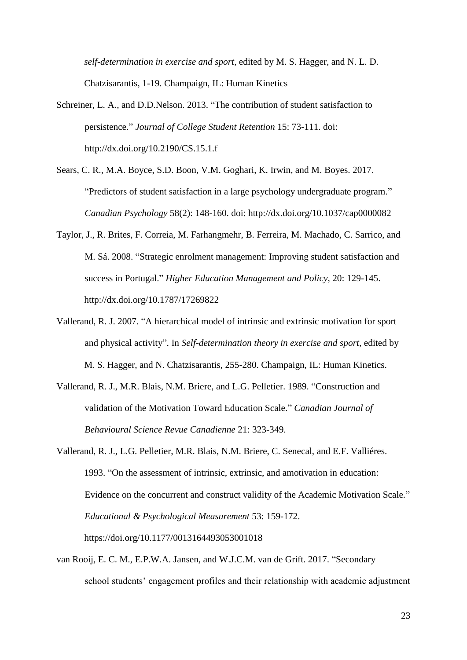*self-determination in exercise and sport*, edited by M. S. Hagger, and N. L. D. Chatzisarantis, 1-19. Champaign, IL: Human Kinetics

- Schreiner, L. A., and D.D.Nelson. 2013. "The contribution of student satisfaction to persistence." *Journal of College Student Retention* 15: 73-111. doi: http://dx.doi.org/10.2190/CS.15.1.f
- Sears, C. R., M.A. Boyce, S.D. Boon, V.M. Goghari, K. Irwin, and M. Boyes. 2017. "Predictors of student satisfaction in a large psychology undergraduate program." *Canadian Psychology* 58(2): 148-160. doi: http://dx.doi.org/10.1037/cap0000082
- Taylor, J., R. Brites, F. Correia, M. Farhangmehr, B. Ferreira, M. Machado, C. Sarrico, and M. Sá. 2008. "Strategic enrolment management: Improving student satisfaction and success in Portugal." *Higher Education Management and Policy,* 20: 129-145. http://dx.doi.org/10.1787/17269822
- Vallerand, R. J. 2007. "A hierarchical model of intrinsic and extrinsic motivation for sport and physical activity". In *Self-determination theory in exercise and sport,* edited by M. S. Hagger, and N. Chatzisarantis, 255-280. Champaign, IL: Human Kinetics.
- Vallerand, R. J., M.R. Blais, N.M. Briere, and L.G. Pelletier. 1989. "Construction and validation of the Motivation Toward Education Scale." *Canadian Journal of Behavioural Science Revue Canadienne* 21: 323-349.
- Vallerand, R. J., L.G. Pelletier, M.R. Blais, N.M. Briere, C. Senecal, and E.F. Valliéres. 1993. "On the assessment of intrinsic, extrinsic, and amotivation in education: Evidence on the concurrent and construct validity of the Academic Motivation Scale." *Educational & Psychological Measurement* 53: 159-172. https://doi.org/10.1177/0013164493053001018
- van Rooij, E. C. M., E.P.W.A. Jansen, and W.J.C.M. van de Grift. 2017. "Secondary school students' engagement profiles and their relationship with academic adjustment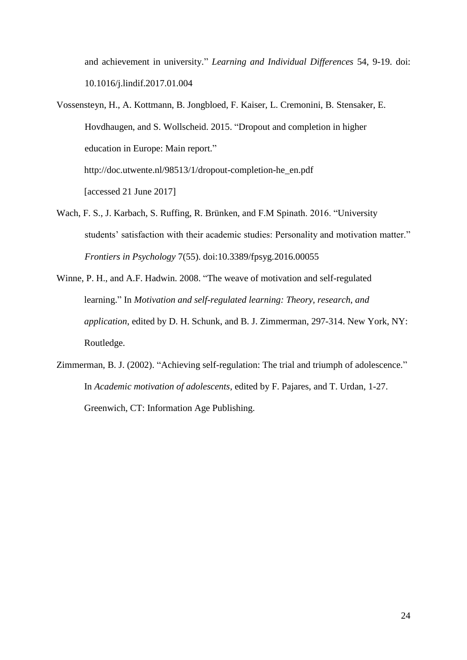and achievement in university." *Learning and Individual Differences* 54, 9-19. doi: 10.1016/j.lindif.2017.01.004

- Vossensteyn, H., A. Kottmann, B. Jongbloed, F. Kaiser, L. Cremonini, B. Stensaker, E. Hovdhaugen, and S. Wollscheid. 2015. "Dropout and completion in higher education in Europe: Main report." http://doc.utwente.nl/98513/1/dropout-completion-he\_en.pdf [accessed 21 June 2017]
- Wach, F. S., J. Karbach, S. Ruffing, R. Brünken, and F.M Spinath. 2016. "University students' satisfaction with their academic studies: Personality and motivation matter." *Frontiers in Psychology* 7(55). doi:10.3389/fpsyg.2016.00055
- Winne, P. H., and A.F. Hadwin. 2008. "The weave of motivation and self-regulated learning." In *Motivation and self-regulated learning: Theory, research, and application*, edited by D. H. Schunk, and B. J. Zimmerman, 297-314. New York, NY: Routledge.
- Zimmerman, B. J. (2002). "Achieving self-regulation: The trial and triumph of adolescence." In *Academic motivation of adolescents*, edited by F. Pajares, and T. Urdan, 1-27. Greenwich, CT: Information Age Publishing.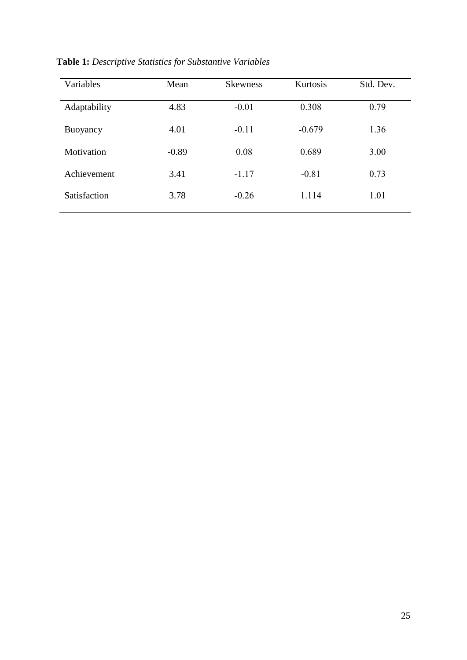| Variables    | Mean    | <b>Skewness</b> | Kurtosis | Std. Dev. |
|--------------|---------|-----------------|----------|-----------|
| Adaptability | 4.83    | $-0.01$         | 0.308    | 0.79      |
| Buoyancy     | 4.01    | $-0.11$         | $-0.679$ | 1.36      |
| Motivation   | $-0.89$ | 0.08            | 0.689    | 3.00      |
| Achievement  | 3.41    | $-1.17$         | $-0.81$  | 0.73      |
| Satisfaction | 3.78    | $-0.26$         | 1.114    | 1.01      |

**Table 1:** *Descriptive Statistics for Substantive Variables*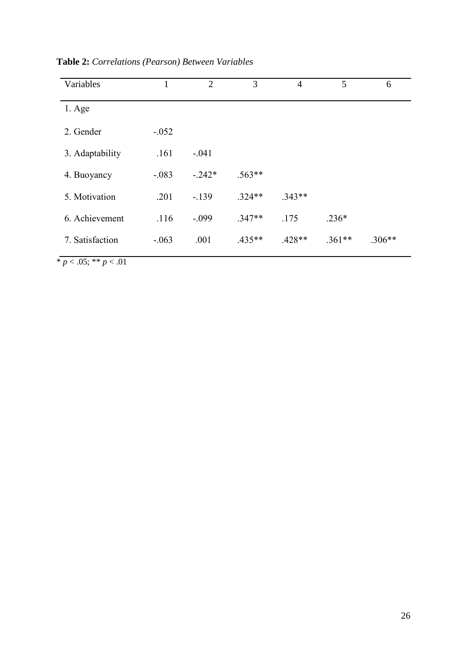| Variables       | $\mathbf{1}$ | $\overline{2}$ | 3        | $\overline{4}$ | 5        | 6        |
|-----------------|--------------|----------------|----------|----------------|----------|----------|
| $1.$ Age        |              |                |          |                |          |          |
| 2. Gender       | $-.052$      |                |          |                |          |          |
| 3. Adaptability | .161         | $-.041$        |          |                |          |          |
| 4. Buoyancy     | $-.083$      | $-.242*$       | $.563**$ |                |          |          |
| 5. Motivation   | .201         | $-139$         | $.324**$ | $.343**$       |          |          |
| 6. Achievement  | .116         | $-.099$        | $.347**$ | .175           | $.236*$  |          |
| 7. Satisfaction | $-.063$      | .001           | $.435**$ | $.428**$       | $.361**$ | $.306**$ |

**Table 2:** *Correlations (Pearson) Between Variables*

 $\frac{1}{p}$   $\frac{p}{0.05}$ ; \*\*  $p$   $\frac{0.01}{p}$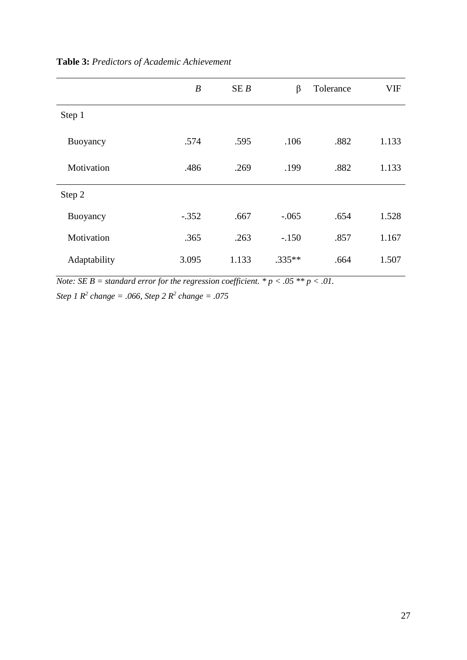|              | $\boldsymbol{B}$ | SEB   | $\beta$  | Tolerance | <b>VIF</b> |
|--------------|------------------|-------|----------|-----------|------------|
| Step 1       |                  |       |          |           |            |
| Buoyancy     | .574             | .595  | .106     | .882      | 1.133      |
| Motivation   | .486             | .269  | .199     | .882      | 1.133      |
| Step 2       |                  |       |          |           |            |
| Buoyancy     | $-.352$          | .667  | $-.065$  | .654      | 1.528      |
| Motivation   | .365             | .263  | $-.150$  | .857      | 1.167      |
| Adaptability | 3.095            | 1.133 | $.335**$ | .664      | 1.507      |

**Table 3:** *Predictors of Academic Achievement* 

*Note: SE B = standard error for the regression coefficient.*  $* p < .05 ** p < .01$ . *Step 1 R 2 change = .066, Step 2 R 2 change = .075*